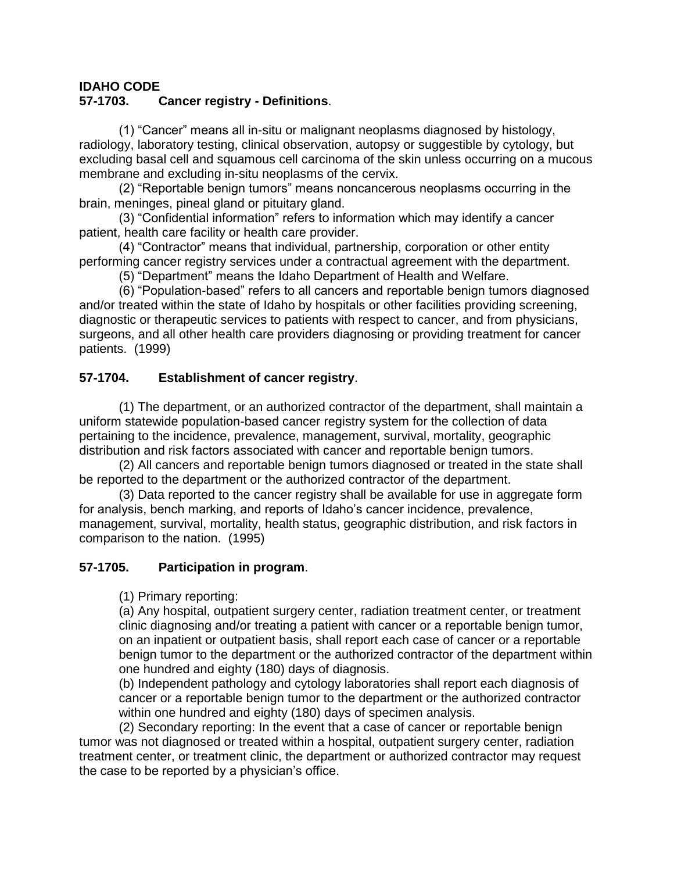# **IDAHO CODE**

## **57-1703. Cancer registry - Definitions**.

(1) "Cancer" means all in-situ or malignant neoplasms diagnosed by histology, radiology, laboratory testing, clinical observation, autopsy or suggestible by cytology, but excluding basal cell and squamous cell carcinoma of the skin unless occurring on a mucous membrane and excluding in-situ neoplasms of the cervix.

(2) "Reportable benign tumors" means noncancerous neoplasms occurring in the brain, meninges, pineal gland or pituitary gland.

(3) "Confidential information" refers to information which may identify a cancer patient, health care facility or health care provider.

(4) "Contractor" means that individual, partnership, corporation or other entity performing cancer registry services under a contractual agreement with the department.

(5) "Department" means the Idaho Department of Health and Welfare.

(6) "Population-based" refers to all cancers and reportable benign tumors diagnosed and/or treated within the state of Idaho by hospitals or other facilities providing screening, diagnostic or therapeutic services to patients with respect to cancer, and from physicians, surgeons, and all other health care providers diagnosing or providing treatment for cancer patients. (1999)

## **57-1704. Establishment of cancer registry**.

(1) The department, or an authorized contractor of the department, shall maintain a uniform statewide population-based cancer registry system for the collection of data pertaining to the incidence, prevalence, management, survival, mortality, geographic distribution and risk factors associated with cancer and reportable benign tumors.

(2) All cancers and reportable benign tumors diagnosed or treated in the state shall be reported to the department or the authorized contractor of the department.

(3) Data reported to the cancer registry shall be available for use in aggregate form for analysis, bench marking, and reports of Idaho's cancer incidence, prevalence, management, survival, mortality, health status, geographic distribution, and risk factors in comparison to the nation. (1995)

## **57-1705. Participation in program**.

(1) Primary reporting:

(a) Any hospital, outpatient surgery center, radiation treatment center, or treatment clinic diagnosing and/or treating a patient with cancer or a reportable benign tumor, on an inpatient or outpatient basis, shall report each case of cancer or a reportable benign tumor to the department or the authorized contractor of the department within one hundred and eighty (180) days of diagnosis.

(b) Independent pathology and cytology laboratories shall report each diagnosis of cancer or a reportable benign tumor to the department or the authorized contractor within one hundred and eighty (180) days of specimen analysis.

(2) Secondary reporting: In the event that a case of cancer or reportable benign tumor was not diagnosed or treated within a hospital, outpatient surgery center, radiation treatment center, or treatment clinic, the department or authorized contractor may request the case to be reported by a physician's office.